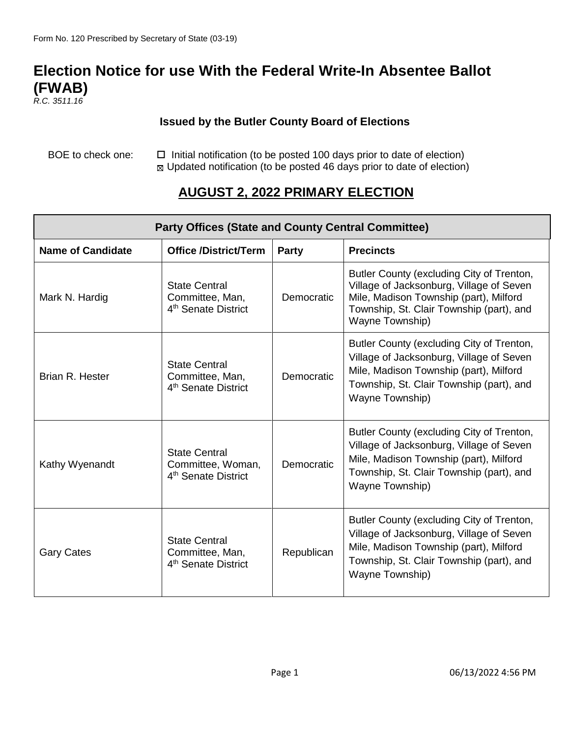# **Election Notice for use With the Federal Write-In Absentee Ballot (FWAB)**

*R.C. 3511.16*

#### **Issued by the Butler County Board of Elections**

BOE to check one:  $\Box$  Initial notification (to be posted 100 days prior to date of election) Updated notification (to be posted 46 days prior to date of election)

### **AUGUST 2, 2022 PRIMARY ELECTION**

| <b>Party Offices (State and County Central Committee)</b> |                                                                              |            |                                                                                                                                                                                                |
|-----------------------------------------------------------|------------------------------------------------------------------------------|------------|------------------------------------------------------------------------------------------------------------------------------------------------------------------------------------------------|
| <b>Name of Candidate</b>                                  | <b>Office /District/Term</b>                                                 | Party      | <b>Precincts</b>                                                                                                                                                                               |
| Mark N. Hardig                                            | <b>State Central</b><br>Committee, Man,<br>4 <sup>th</sup> Senate District   | Democratic | Butler County (excluding City of Trenton,<br>Village of Jacksonburg, Village of Seven<br>Mile, Madison Township (part), Milford<br>Township, St. Clair Township (part), and<br>Wayne Township) |
| Brian R. Hester                                           | <b>State Central</b><br>Committee, Man,<br>4 <sup>th</sup> Senate District   | Democratic | Butler County (excluding City of Trenton,<br>Village of Jacksonburg, Village of Seven<br>Mile, Madison Township (part), Milford<br>Township, St. Clair Township (part), and<br>Wayne Township) |
| Kathy Wyenandt                                            | <b>State Central</b><br>Committee, Woman,<br>4 <sup>th</sup> Senate District | Democratic | Butler County (excluding City of Trenton,<br>Village of Jacksonburg, Village of Seven<br>Mile, Madison Township (part), Milford<br>Township, St. Clair Township (part), and<br>Wayne Township) |
| <b>Gary Cates</b>                                         | <b>State Central</b><br>Committee, Man,<br>4 <sup>th</sup> Senate District   | Republican | Butler County (excluding City of Trenton,<br>Village of Jacksonburg, Village of Seven<br>Mile, Madison Township (part), Milford<br>Township, St. Clair Township (part), and<br>Wayne Township) |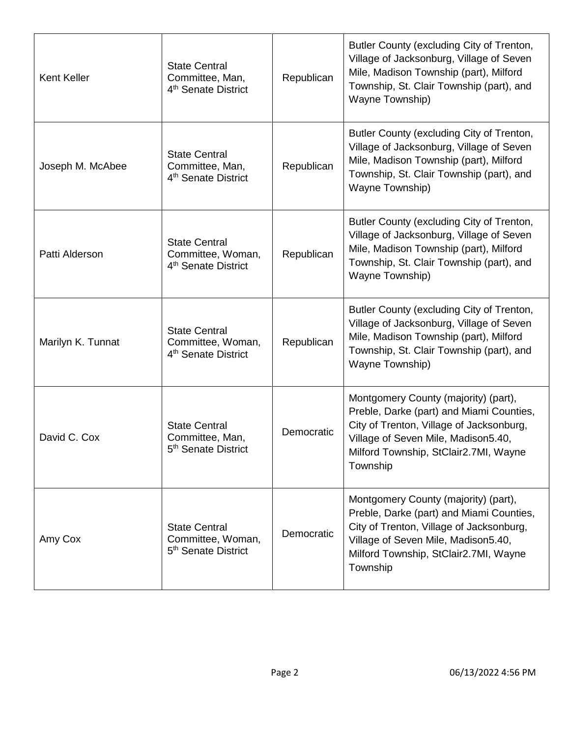| Kent Keller       | <b>State Central</b><br>Committee, Man,<br>4 <sup>th</sup> Senate District   | Republican | Butler County (excluding City of Trenton,<br>Village of Jacksonburg, Village of Seven<br>Mile, Madison Township (part), Milford<br>Township, St. Clair Township (part), and<br>Wayne Township)                           |
|-------------------|------------------------------------------------------------------------------|------------|--------------------------------------------------------------------------------------------------------------------------------------------------------------------------------------------------------------------------|
| Joseph M. McAbee  | <b>State Central</b><br>Committee, Man,<br>4 <sup>th</sup> Senate District   | Republican | Butler County (excluding City of Trenton,<br>Village of Jacksonburg, Village of Seven<br>Mile, Madison Township (part), Milford<br>Township, St. Clair Township (part), and<br>Wayne Township)                           |
| Patti Alderson    | <b>State Central</b><br>Committee, Woman,<br>4 <sup>th</sup> Senate District | Republican | Butler County (excluding City of Trenton,<br>Village of Jacksonburg, Village of Seven<br>Mile, Madison Township (part), Milford<br>Township, St. Clair Township (part), and<br>Wayne Township)                           |
| Marilyn K. Tunnat | <b>State Central</b><br>Committee, Woman,<br>4 <sup>th</sup> Senate District | Republican | Butler County (excluding City of Trenton,<br>Village of Jacksonburg, Village of Seven<br>Mile, Madison Township (part), Milford<br>Township, St. Clair Township (part), and<br>Wayne Township)                           |
| David C. Cox      | <b>State Central</b><br>Committee, Man,<br>5 <sup>th</sup> Senate District   | Democratic | Montgomery County (majority) (part),<br>Preble, Darke (part) and Miami Counties,<br>City of Trenton, Village of Jacksonburg,<br>Village of Seven Mile, Madison5.40,<br>Milford Township, StClair2.7MI, Wayne<br>Township |
| Amy Cox           | <b>State Central</b><br>Committee, Woman,<br>5 <sup>th</sup> Senate District | Democratic | Montgomery County (majority) (part),<br>Preble, Darke (part) and Miami Counties,<br>City of Trenton, Village of Jacksonburg,<br>Village of Seven Mile, Madison5.40,<br>Milford Township, StClair2.7MI, Wayne<br>Township |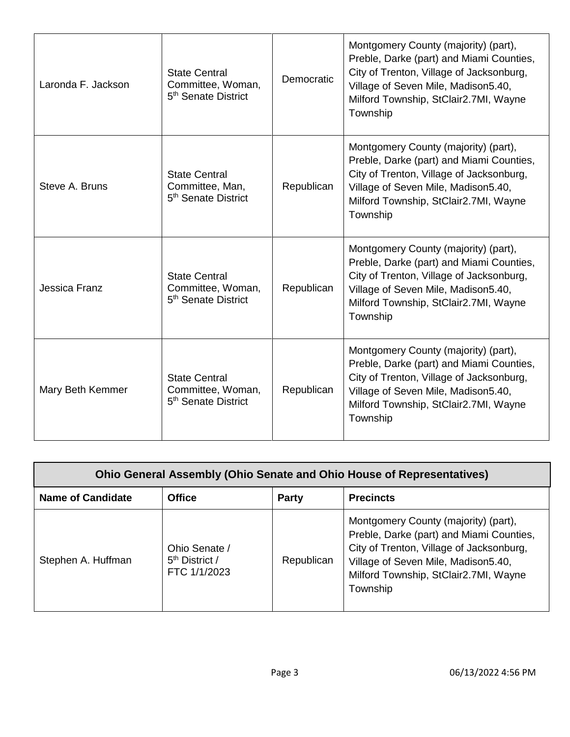| Laronda F. Jackson | <b>State Central</b><br>Committee, Woman,<br>5 <sup>th</sup> Senate District | Democratic | Montgomery County (majority) (part),<br>Preble, Darke (part) and Miami Counties,<br>City of Trenton, Village of Jacksonburg,<br>Village of Seven Mile, Madison 5.40,<br>Milford Township, StClair2.7MI, Wayne<br>Township |
|--------------------|------------------------------------------------------------------------------|------------|---------------------------------------------------------------------------------------------------------------------------------------------------------------------------------------------------------------------------|
| Steve A. Bruns     | <b>State Central</b><br>Committee, Man,<br>5 <sup>th</sup> Senate District   | Republican | Montgomery County (majority) (part),<br>Preble, Darke (part) and Miami Counties,<br>City of Trenton, Village of Jacksonburg,<br>Village of Seven Mile, Madison 5.40,<br>Milford Township, StClair2.7MI, Wayne<br>Township |
| Jessica Franz      | <b>State Central</b><br>Committee, Woman,<br>5 <sup>th</sup> Senate District | Republican | Montgomery County (majority) (part),<br>Preble, Darke (part) and Miami Counties,<br>City of Trenton, Village of Jacksonburg,<br>Village of Seven Mile, Madison 5.40,<br>Milford Township, StClair2.7MI, Wayne<br>Township |
| Mary Beth Kemmer   | <b>State Central</b><br>Committee, Woman,<br>5 <sup>th</sup> Senate District | Republican | Montgomery County (majority) (part),<br>Preble, Darke (part) and Miami Counties,<br>City of Trenton, Village of Jacksonburg,<br>Village of Seven Mile, Madison 5.40,<br>Milford Township, StClair2.7MI, Wayne<br>Township |

| <b>Ohio General Assembly (Ohio Senate and Ohio House of Representatives)</b> |                                                             |              |                                                                                                                                                                                                                          |
|------------------------------------------------------------------------------|-------------------------------------------------------------|--------------|--------------------------------------------------------------------------------------------------------------------------------------------------------------------------------------------------------------------------|
| <b>Name of Candidate</b>                                                     | <b>Office</b>                                               | <b>Party</b> | <b>Precincts</b>                                                                                                                                                                                                         |
| Stephen A. Huffman                                                           | Ohio Senate /<br>5 <sup>th</sup> District /<br>FTC 1/1/2023 | Republican   | Montgomery County (majority) (part),<br>Preble, Darke (part) and Miami Counties,<br>City of Trenton, Village of Jacksonburg,<br>Village of Seven Mile, Madison5.40,<br>Milford Township, StClair2.7MI, Wayne<br>Township |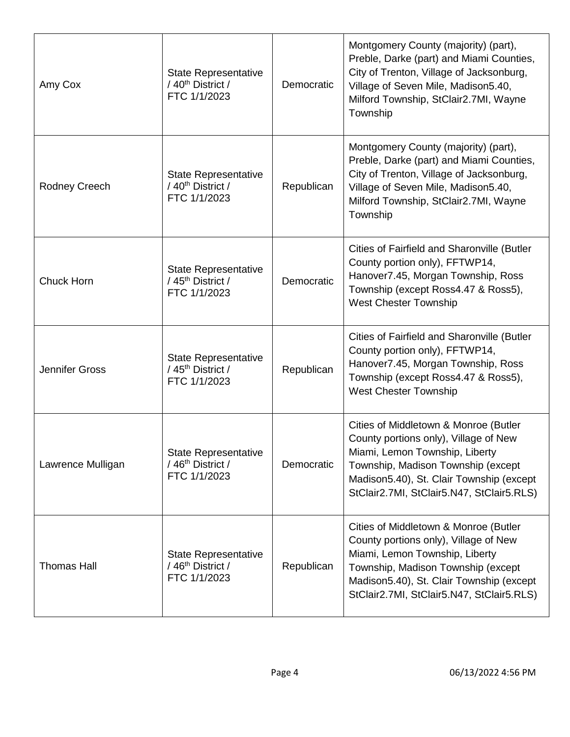| Amy Cox               | <b>State Representative</b><br>/ 40 <sup>th</sup> District /<br>FTC 1/1/2023 | Democratic | Montgomery County (majority) (part),<br>Preble, Darke (part) and Miami Counties,<br>City of Trenton, Village of Jacksonburg,<br>Village of Seven Mile, Madison5.40,<br>Milford Township, StClair2.7MI, Wayne<br>Township                        |
|-----------------------|------------------------------------------------------------------------------|------------|-------------------------------------------------------------------------------------------------------------------------------------------------------------------------------------------------------------------------------------------------|
| Rodney Creech         | <b>State Representative</b><br>/ 40 <sup>th</sup> District /<br>FTC 1/1/2023 | Republican | Montgomery County (majority) (part),<br>Preble, Darke (part) and Miami Counties,<br>City of Trenton, Village of Jacksonburg,<br>Village of Seven Mile, Madison5.40,<br>Milford Township, StClair2.7MI, Wayne<br>Township                        |
| Chuck Horn            | <b>State Representative</b><br>/45 <sup>th</sup> District /<br>FTC 1/1/2023  | Democratic | Cities of Fairfield and Sharonville (Butler<br>County portion only), FFTWP14,<br>Hanover7.45, Morgan Township, Ross<br>Township (except Ross4.47 & Ross5),<br><b>West Chester Township</b>                                                      |
| <b>Jennifer Gross</b> | <b>State Representative</b><br>/45 <sup>th</sup> District /<br>FTC 1/1/2023  | Republican | Cities of Fairfield and Sharonville (Butler<br>County portion only), FFTWP14,<br>Hanover7.45, Morgan Township, Ross<br>Township (except Ross4.47 & Ross5),<br><b>West Chester Township</b>                                                      |
| Lawrence Mulligan     | State Representative<br>/ 46 <sup>th</sup> District /<br>FTC 1/1/2023        | Democratic | Cities of Middletown & Monroe (Butler<br>County portions only), Village of New<br>Miami, Lemon Township, Liberty<br>Township, Madison Township (except<br>Madison5.40), St. Clair Township (except<br>StClair2.7MI, StClair5.N47, StClair5.RLS) |
| <b>Thomas Hall</b>    | <b>State Representative</b><br>/46 <sup>th</sup> District /<br>FTC 1/1/2023  | Republican | Cities of Middletown & Monroe (Butler<br>County portions only), Village of New<br>Miami, Lemon Township, Liberty<br>Township, Madison Township (except<br>Madison5.40), St. Clair Township (except<br>StClair2.7MI, StClair5.N47, StClair5.RLS) |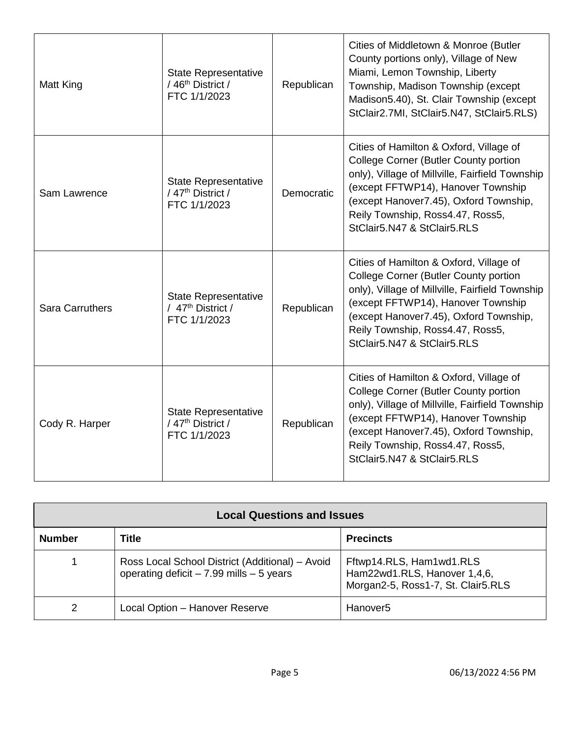| Matt King              | <b>State Representative</b><br>/ 46 <sup>th</sup> District /<br>FTC 1/1/2023 | Republican | Cities of Middletown & Monroe (Butler<br>County portions only), Village of New<br>Miami, Lemon Township, Liberty<br>Township, Madison Township (except<br>Madison5.40), St. Clair Township (except<br>StClair2.7MI, StClair5.N47, StClair5.RLS)                                               |
|------------------------|------------------------------------------------------------------------------|------------|-----------------------------------------------------------------------------------------------------------------------------------------------------------------------------------------------------------------------------------------------------------------------------------------------|
| Sam Lawrence           | <b>State Representative</b><br>/ 47 <sup>th</sup> District /<br>FTC 1/1/2023 | Democratic | Cities of Hamilton & Oxford, Village of<br>College Corner (Butler County portion<br>only), Village of Millville, Fairfield Township<br>(except FFTWP14), Hanover Township<br>(except Hanover7.45), Oxford Township,<br>Reily Township, Ross4.47, Ross5,<br>StClair5.N47 & StClair5.RLS        |
| <b>Sara Carruthers</b> | <b>State Representative</b><br>/ 47 <sup>th</sup> District /<br>FTC 1/1/2023 | Republican | Cities of Hamilton & Oxford, Village of<br><b>College Corner (Butler County portion</b><br>only), Village of Millville, Fairfield Township<br>(except FFTWP14), Hanover Township<br>(except Hanover7.45), Oxford Township,<br>Reily Township, Ross4.47, Ross5,<br>StClair5.N47 & StClair5.RLS |
| Cody R. Harper         | <b>State Representative</b><br>/ 47 <sup>th</sup> District /<br>FTC 1/1/2023 | Republican | Cities of Hamilton & Oxford, Village of<br><b>College Corner (Butler County portion</b><br>only), Village of Millville, Fairfield Township<br>(except FFTWP14), Hanover Township<br>(except Hanover7.45), Oxford Township,<br>Reily Township, Ross4.47, Ross5,<br>StClair5.N47 & StClair5.RLS |

| <b>Local Questions and Issues</b> |                                                                                               |                                                                                                |  |
|-----------------------------------|-----------------------------------------------------------------------------------------------|------------------------------------------------------------------------------------------------|--|
| <b>Number</b>                     | Title                                                                                         | <b>Precincts</b>                                                                               |  |
|                                   | Ross Local School District (Additional) - Avoid<br>operating deficit $-7.99$ mills $-5$ years | Fftwp14.RLS, Ham1wd1.RLS<br>Ham22wd1.RLS, Hanover 1,4,6,<br>Morgan2-5, Ross1-7, St. Clair5.RLS |  |
| 2                                 | Local Option - Hanover Reserve                                                                | Hanover <sub>5</sub>                                                                           |  |